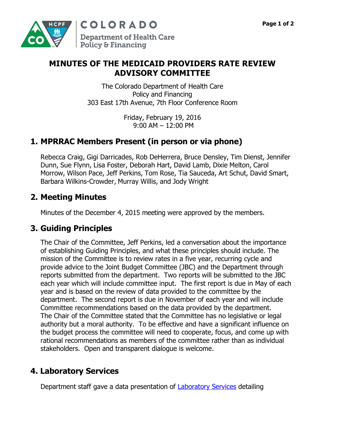

## **MINUTES OF THE MEDICAID PROVIDERS RATE REVIEW ADVISORY COMMITTEE**

The Colorado Department of Health Care Policy and Financing 303 East 17th Avenue, 7th Floor Conference Room

> Friday, February 19, 2016 9:00 AM – 12:00 PM

## **1. MPRRAC Members Present (in person or via phone)**

Rebecca Craig, Gigi Darricades, Rob DeHerrera, Bruce Densley, Tim Dienst, Jennifer Dunn, Sue Flynn, Lisa Foster, Deborah Hart, David Lamb, Dixie Melton, Carol Morrow, Wilson Pace, Jeff Perkins, Tom Rose, Tia Sauceda, Art Schut, David Smart, Barbara Wilkins-Crowder, Murray Willis, and Jody Wright

### **2. Meeting Minutes**

Minutes of the December 4, 2015 meeting were approved by the members.

## **3. Guiding Principles**

The Chair of the Committee, Jeff Perkins, led a conversation about the importance of establishing Guiding Principles, and what these principles should include. The mission of the Committee is to review rates in a five year, recurring cycle and provide advice to the Joint Budget Committee (JBC) and the Department through reports submitted from the department. Two reports will be submitted to the JBC each year which will include committee input. The first report is due in May of each year and is based on the review of data provided to the committee by the department. The second report is due in November of each year and will include Committee recommendations based on the data provided by the department. The Chair of the Committee stated that the Committee has no legislative or legal authority but a moral authority. To be effective and have a significant influence on the budget process the committee will need to cooperate, focus, and come up with rational recommendations as members of the committee rather than as individual stakeholders. Open and transparent dialogue is welcome.

# **4. Laboratory Services**

Department staff gave a data presentation of **Laboratory Services** detailing